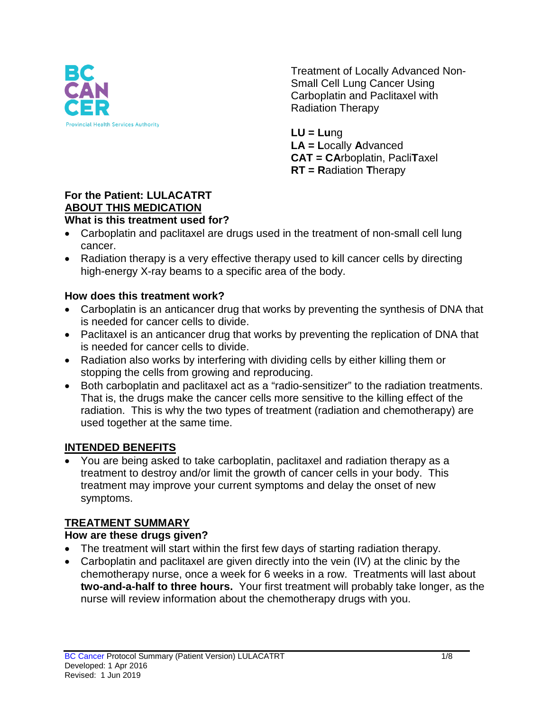

Treatment of Locally Advanced Non-Small Cell Lung Cancer Using Carboplatin and Paclitaxel with Radiation Therapy

**LU = Lu**ng **LA = L**ocally **A**dvanced **CAT = CA**rboplatin, Pacli**T**axel **RT = R**adiation **T**herapy

#### **For the Patient: LULACATRT ABOUT THIS MEDICATION What is this treatment used for?**

- Carboplatin and paclitaxel are drugs used in the treatment of non-small cell lung cancer.
- Radiation therapy is a very effective therapy used to kill cancer cells by directing high-energy X-ray beams to a specific area of the body.

### **How does this treatment work?**

- Carboplatin is an anticancer drug that works by preventing the synthesis of DNA that is needed for cancer cells to divide.
- Paclitaxel is an anticancer drug that works by preventing the replication of DNA that is needed for cancer cells to divide.
- Radiation also works by interfering with dividing cells by either killing them or stopping the cells from growing and reproducing.
- Both carboplatin and paclitaxel act as a "radio-sensitizer" to the radiation treatments. That is, the drugs make the cancer cells more sensitive to the killing effect of the radiation. This is why the two types of treatment (radiation and chemotherapy) are used together at the same time.

# **INTENDED BENEFITS**

• You are being asked to take carboplatin, paclitaxel and radiation therapy as a treatment to destroy and/or limit the growth of cancer cells in your body. This treatment may improve your current symptoms and delay the onset of new symptoms.

# **TREATMENT SUMMARY**

### **How are these drugs given?**

- The treatment will start within the first few days of starting radiation therapy.
- Carboplatin and paclitaxel are given directly into the vein (IV) at the clinic by the chemotherapy nurse, once a week for 6 weeks in a row. Treatments will last about **two-and-a-half to three hours.** Your first treatment will probably take longer, as the nurse will review information about the chemotherapy drugs with you.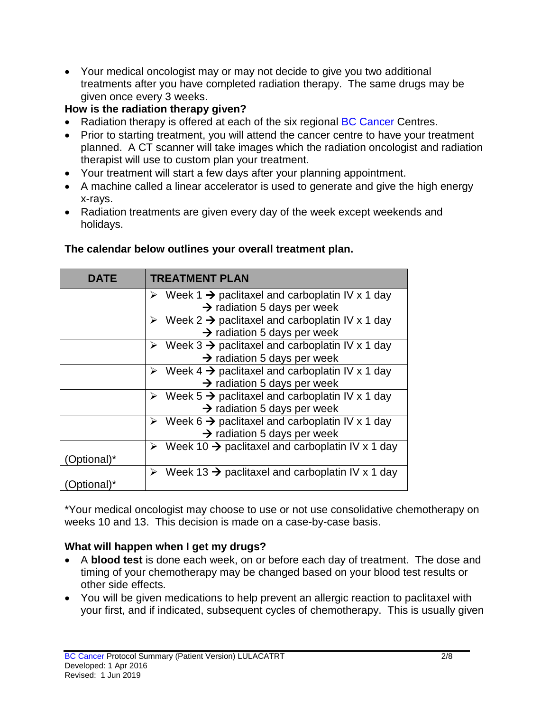• Your medical oncologist may or may not decide to give you two additional treatments after you have completed radiation therapy. The same drugs may be given once every 3 weeks.

## **How is the radiation therapy given?**

- Radiation therapy is offered at each of the six regional BC Cancer Centres.
- Prior to starting treatment, you will attend the cancer centre to have your treatment planned. A CT scanner will take images which the radiation oncologist and radiation therapist will use to custom plan your treatment.
- Your treatment will start a few days after your planning appointment.
- A machine called a linear accelerator is used to generate and give the high energy x-rays.
- Radiation treatments are given every day of the week except weekends and holidays.

| DATE       | <b>TREATMENT PLAN</b>                                                        |  |  |
|------------|------------------------------------------------------------------------------|--|--|
|            | $\triangleright$ Week 1 $\rightarrow$ paclitaxel and carboplatin IV x 1 day  |  |  |
|            | $\rightarrow$ radiation 5 days per week                                      |  |  |
|            | $\triangleright$ Week 2 $\rightarrow$ paclitaxel and carboplatin IV x 1 day  |  |  |
|            | $\rightarrow$ radiation 5 days per week                                      |  |  |
|            | $\triangleright$ Week 3 $\rightarrow$ paclitaxel and carboplatin IV x 1 day  |  |  |
|            | $\rightarrow$ radiation 5 days per week                                      |  |  |
|            | $\triangleright$ Week 4 $\rightarrow$ paclitaxel and carboplatin IV x 1 day  |  |  |
|            | $\rightarrow$ radiation 5 days per week                                      |  |  |
|            | $\triangleright$ Week 5 $\rightarrow$ paclitaxel and carboplatin IV x 1 day  |  |  |
|            | $\rightarrow$ radiation 5 days per week                                      |  |  |
|            | Week 6 $\rightarrow$ paclitaxel and carboplatin IV x 1 day<br>➤              |  |  |
|            | $\rightarrow$ radiation 5 days per week                                      |  |  |
|            | Week 10 $\rightarrow$ paclitaxel and carboplatin IV x 1 day<br>➤             |  |  |
| Optional)* |                                                                              |  |  |
|            | $\triangleright$ Week 13 $\rightarrow$ paclitaxel and carboplatin IV x 1 day |  |  |
|            |                                                                              |  |  |

### **The calendar below outlines your overall treatment plan.**

\*Your medical oncologist may choose to use or not use consolidative chemotherapy on weeks 10 and 13. This decision is made on a case-by-case basis.

### **What will happen when I get my drugs?**

- A **blood test** is done each week, on or before each day of treatment. The dose and timing of your chemotherapy may be changed based on your blood test results or other side effects.
- You will be given medications to help prevent an allergic reaction to paclitaxel with your first, and if indicated, subsequent cycles of chemotherapy. This is usually given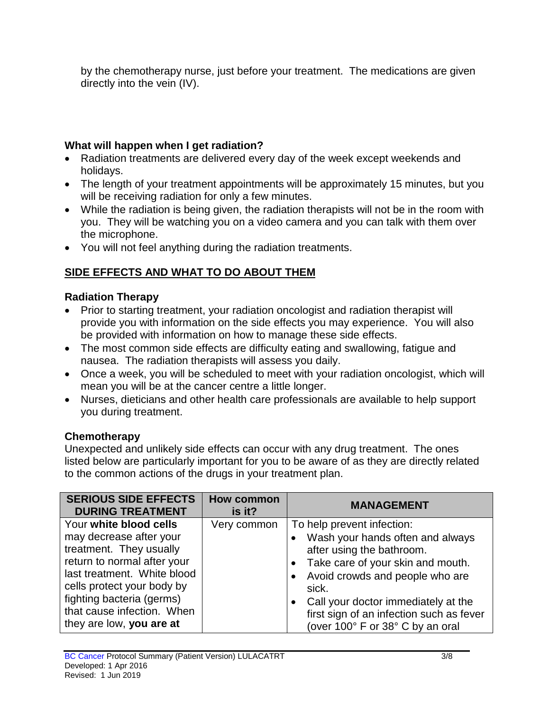by the chemotherapy nurse, just before your treatment. The medications are given directly into the vein (IV).

## **What will happen when I get radiation?**

- Radiation treatments are delivered every day of the week except weekends and holidays.
- The length of your treatment appointments will be approximately 15 minutes, but you will be receiving radiation for only a few minutes.
- While the radiation is being given, the radiation therapists will not be in the room with you. They will be watching you on a video camera and you can talk with them over the microphone.
- You will not feel anything during the radiation treatments.

# **SIDE EFFECTS AND WHAT TO DO ABOUT THEM**

### **Radiation Therapy**

- Prior to starting treatment, your radiation oncologist and radiation therapist will provide you with information on the side effects you may experience. You will also be provided with information on how to manage these side effects.
- The most common side effects are difficulty eating and swallowing, fatigue and nausea. The radiation therapists will assess you daily.
- Once a week, you will be scheduled to meet with your radiation oncologist, which will mean you will be at the cancer centre a little longer.
- Nurses, dieticians and other health care professionals are available to help support you during treatment.

# **Chemotherapy**

Unexpected and unlikely side effects can occur with any drug treatment. The ones listed below are particularly important for you to be aware of as they are directly related to the common actions of the drugs in your treatment plan.

| <b>SERIOUS SIDE EFFECTS</b><br><b>DURING TREATMENT</b>                                                                                                                                                                                                          | <b>How common</b><br>is it? | <b>MANAGEMENT</b>                                                                                                                                                                                                                                                                                   |
|-----------------------------------------------------------------------------------------------------------------------------------------------------------------------------------------------------------------------------------------------------------------|-----------------------------|-----------------------------------------------------------------------------------------------------------------------------------------------------------------------------------------------------------------------------------------------------------------------------------------------------|
| Your white blood cells<br>may decrease after your<br>treatment. They usually<br>return to normal after your<br>last treatment. White blood<br>cells protect your body by<br>fighting bacteria (germs)<br>that cause infection. When<br>they are low, you are at | Very common                 | To help prevent infection:<br>Wash your hands often and always<br>after using the bathroom.<br>Take care of your skin and mouth.<br>Avoid crowds and people who are<br>sick.<br>Call your doctor immediately at the<br>first sign of an infection such as fever<br>(over 100° F or 38° C by an oral |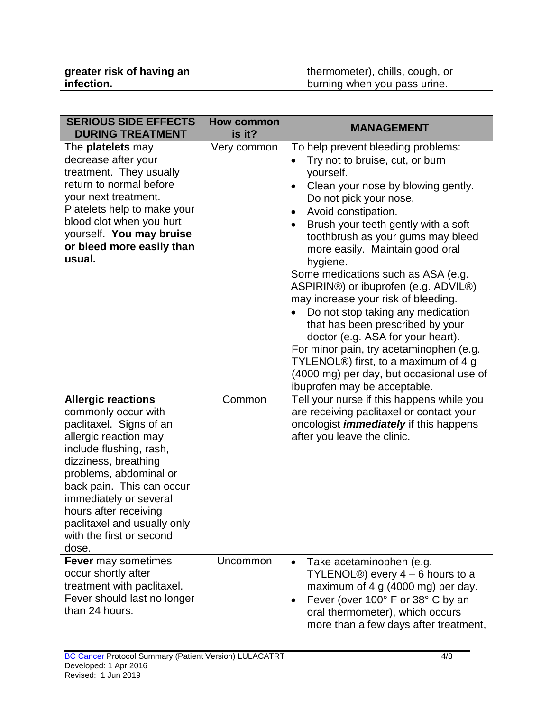| greater risk of having an | thermometer), chills, cough, or |
|---------------------------|---------------------------------|
| infection.                | burning when you pass urine.    |

| <b>SERIOUS SIDE EFFECTS</b><br><b>DURING TREATMENT</b>                                                                                                                                                                                                                                                                                | <b>How common</b><br>is it? | <b>MANAGEMENT</b>                                                                                                                                                                                                                                                                                                                                                                                                                                                                                                                                                                                                                                                                                                                                          |
|---------------------------------------------------------------------------------------------------------------------------------------------------------------------------------------------------------------------------------------------------------------------------------------------------------------------------------------|-----------------------------|------------------------------------------------------------------------------------------------------------------------------------------------------------------------------------------------------------------------------------------------------------------------------------------------------------------------------------------------------------------------------------------------------------------------------------------------------------------------------------------------------------------------------------------------------------------------------------------------------------------------------------------------------------------------------------------------------------------------------------------------------------|
| The platelets may<br>decrease after your<br>treatment. They usually<br>return to normal before<br>your next treatment.<br>Platelets help to make your<br>blood clot when you hurt<br>yourself. You may bruise<br>or bleed more easily than<br>usual.                                                                                  | Very common                 | To help prevent bleeding problems:<br>Try not to bruise, cut, or burn<br>$\bullet$<br>yourself.<br>Clean your nose by blowing gently.<br>$\bullet$<br>Do not pick your nose.<br>Avoid constipation.<br>$\bullet$<br>Brush your teeth gently with a soft<br>toothbrush as your gums may bleed<br>more easily. Maintain good oral<br>hygiene.<br>Some medications such as ASA (e.g.<br>ASPIRIN®) or ibuprofen (e.g. ADVIL®)<br>may increase your risk of bleeding.<br>Do not stop taking any medication<br>that has been prescribed by your<br>doctor (e.g. ASA for your heart).<br>For minor pain, try acetaminophen (e.g.<br>TYLENOL <sup>®</sup> ) first, to a maximum of 4 g<br>(4000 mg) per day, but occasional use of<br>ibuprofen may be acceptable. |
| <b>Allergic reactions</b><br>commonly occur with<br>paclitaxel. Signs of an<br>allergic reaction may<br>include flushing, rash,<br>dizziness, breathing<br>problems, abdominal or<br>back pain. This can occur<br>immediately or several<br>hours after receiving<br>paclitaxel and usually only<br>with the first or second<br>dose. | Common                      | Tell your nurse if this happens while you<br>are receiving paclitaxel or contact your<br>oncologist <i>immediately</i> if this happens<br>after you leave the clinic.                                                                                                                                                                                                                                                                                                                                                                                                                                                                                                                                                                                      |
| <b>Fever</b> may sometimes<br>occur shortly after<br>treatment with paclitaxel.<br>Fever should last no longer<br>than 24 hours.                                                                                                                                                                                                      | Uncommon                    | Take acetaminophen (e.g.<br>$\bullet$<br>TYLENOL <sup>®</sup> ) every $4 - 6$ hours to a<br>maximum of 4 g (4000 mg) per day.<br>Fever (over 100° F or 38° C by an<br>$\bullet$<br>oral thermometer), which occurs<br>more than a few days after treatment,                                                                                                                                                                                                                                                                                                                                                                                                                                                                                                |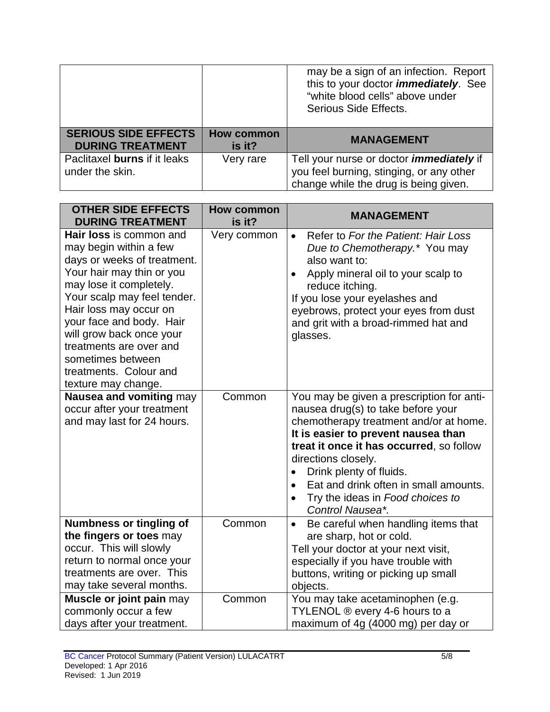|                             |                   | may be a sign of an infection. Report<br>this to your doctor <i>immediately</i> . See<br>"white blood cells" above under<br>Serious Side Effects. |
|-----------------------------|-------------------|---------------------------------------------------------------------------------------------------------------------------------------------------|
| <b>SERIOUS SIDE EFFECTS</b> | <b>How common</b> | <b>MANAGEMENT</b>                                                                                                                                 |
| <b>DURING TREATMENT</b>     | is it?            |                                                                                                                                                   |

| <b>OTHER SIDE EFFECTS</b><br><b>DURING TREATMENT</b>                                                                                                                                                                                                                                                                                                              | <b>How common</b><br>is it? | <b>MANAGEMENT</b>                                                                                                                                                                                                                                                                                                                                                                         |
|-------------------------------------------------------------------------------------------------------------------------------------------------------------------------------------------------------------------------------------------------------------------------------------------------------------------------------------------------------------------|-----------------------------|-------------------------------------------------------------------------------------------------------------------------------------------------------------------------------------------------------------------------------------------------------------------------------------------------------------------------------------------------------------------------------------------|
| <b>Hair loss</b> is common and<br>may begin within a few<br>days or weeks of treatment.<br>Your hair may thin or you<br>may lose it completely.<br>Your scalp may feel tender.<br>Hair loss may occur on<br>your face and body. Hair<br>will grow back once your<br>treatments are over and<br>sometimes between<br>treatments. Colour and<br>texture may change. | Very common                 | Refer to For the Patient: Hair Loss<br>$\bullet$<br>Due to Chemotherapy.* You may<br>also want to:<br>Apply mineral oil to your scalp to<br>$\bullet$<br>reduce itching.<br>If you lose your eyelashes and<br>eyebrows, protect your eyes from dust<br>and grit with a broad-rimmed hat and<br>glasses.                                                                                   |
| Nausea and vomiting may<br>occur after your treatment<br>and may last for 24 hours.                                                                                                                                                                                                                                                                               | Common                      | You may be given a prescription for anti-<br>nausea drug(s) to take before your<br>chemotherapy treatment and/or at home.<br>It is easier to prevent nausea than<br>treat it once it has occurred, so follow<br>directions closely.<br>Drink plenty of fluids.<br>Eat and drink often in small amounts.<br>$\bullet$<br>Try the ideas in Food choices to<br>$\bullet$<br>Control Nausea*. |
| <b>Numbness or tingling of</b><br>the fingers or toes may<br>occur. This will slowly<br>return to normal once your<br>treatments are over. This<br>may take several months.                                                                                                                                                                                       | Common                      | Be careful when handling items that<br>$\bullet$<br>are sharp, hot or cold.<br>Tell your doctor at your next visit,<br>especially if you have trouble with<br>buttons, writing or picking up small<br>objects.                                                                                                                                                                            |
| Muscle or joint pain may<br>commonly occur a few<br>days after your treatment.                                                                                                                                                                                                                                                                                    | Common                      | You may take acetaminophen (e.g.<br>TYLENOL ® every 4-6 hours to a<br>maximum of 4g (4000 mg) per day or                                                                                                                                                                                                                                                                                  |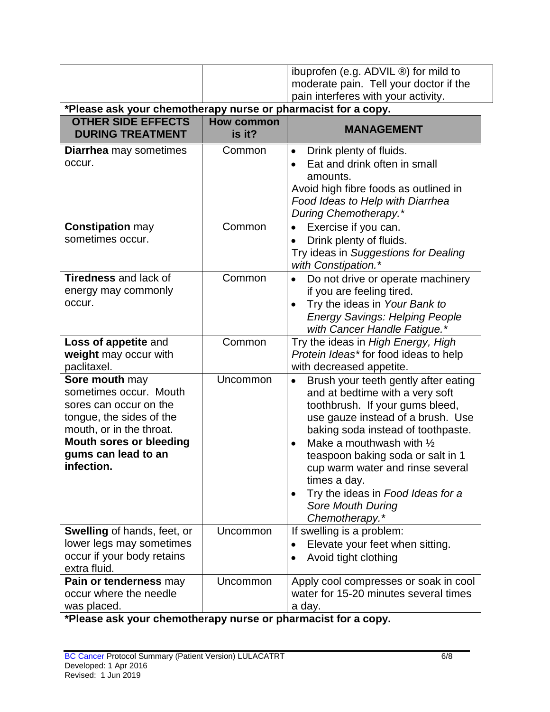|                                                                                                                                                                                                                                         |                      | ibuprofen (e.g. ADVIL ®) for mild to<br>moderate pain. Tell your doctor if the                                                                                                                                                                                                                                                                                                                                                              |  |
|-----------------------------------------------------------------------------------------------------------------------------------------------------------------------------------------------------------------------------------------|----------------------|---------------------------------------------------------------------------------------------------------------------------------------------------------------------------------------------------------------------------------------------------------------------------------------------------------------------------------------------------------------------------------------------------------------------------------------------|--|
|                                                                                                                                                                                                                                         |                      | pain interferes with your activity.                                                                                                                                                                                                                                                                                                                                                                                                         |  |
| *Please ask your chemotherapy nurse or pharmacist for a copy.<br><b>OTHER SIDE EFFECTS</b><br><b>How common</b>                                                                                                                         |                      |                                                                                                                                                                                                                                                                                                                                                                                                                                             |  |
| <b>DURING TREATMENT</b>                                                                                                                                                                                                                 | is it?               | <b>MANAGEMENT</b>                                                                                                                                                                                                                                                                                                                                                                                                                           |  |
| <b>Diarrhea</b> may sometimes<br>occur.                                                                                                                                                                                                 | Common               | Drink plenty of fluids.<br>$\bullet$<br>Eat and drink often in small<br>amounts.<br>Avoid high fibre foods as outlined in<br>Food Ideas to Help with Diarrhea<br>During Chemotherapy.*                                                                                                                                                                                                                                                      |  |
| <b>Constipation may</b><br>sometimes occur.                                                                                                                                                                                             | Common               | Exercise if you can.<br>Drink plenty of fluids.<br>Try ideas in Suggestions for Dealing<br>with Constipation.*                                                                                                                                                                                                                                                                                                                              |  |
| <b>Tiredness</b> and lack of<br>energy may commonly<br>occur.                                                                                                                                                                           | Common               | Do not drive or operate machinery<br>$\bullet$<br>if you are feeling tired.<br>Try the ideas in Your Bank to<br><b>Energy Savings: Helping People</b><br>with Cancer Handle Fatigue.*                                                                                                                                                                                                                                                       |  |
| Loss of appetite and<br>weight may occur with<br>paclitaxel.                                                                                                                                                                            | Common               | Try the ideas in High Energy, High<br>Protein Ideas*for food ideas to help<br>with decreased appetite.                                                                                                                                                                                                                                                                                                                                      |  |
| <b>Sore mouth may</b><br>sometimes occur. Mouth<br>sores can occur on the<br>tongue, the sides of the<br>mouth, or in the throat.<br><b>Mouth sores or bleeding</b><br>gums can lead to an<br>infection.<br>Swelling of hands, feet, or | Uncommon<br>Uncommon | Brush your teeth gently after eating<br>$\bullet$<br>and at bedtime with a very soft<br>toothbrush. If your gums bleed,<br>use gauze instead of a brush. Use<br>baking soda instead of toothpaste.<br>Make a mouthwash with $\frac{1}{2}$<br>teaspoon baking soda or salt in 1<br>cup warm water and rinse several<br>times a day.<br>Try the ideas in Food Ideas for a<br>Sore Mouth During<br>Chemotherapy.*<br>If swelling is a problem: |  |
| lower legs may sometimes<br>occur if your body retains<br>extra fluid.                                                                                                                                                                  |                      | Elevate your feet when sitting.<br>Avoid tight clothing                                                                                                                                                                                                                                                                                                                                                                                     |  |
| Pain or tenderness may<br>occur where the needle<br>was placed.                                                                                                                                                                         | Uncommon             | Apply cool compresses or soak in cool<br>water for 15-20 minutes several times<br>a day.                                                                                                                                                                                                                                                                                                                                                    |  |

**\*Please ask your chemotherapy nurse or pharmacist for a copy.**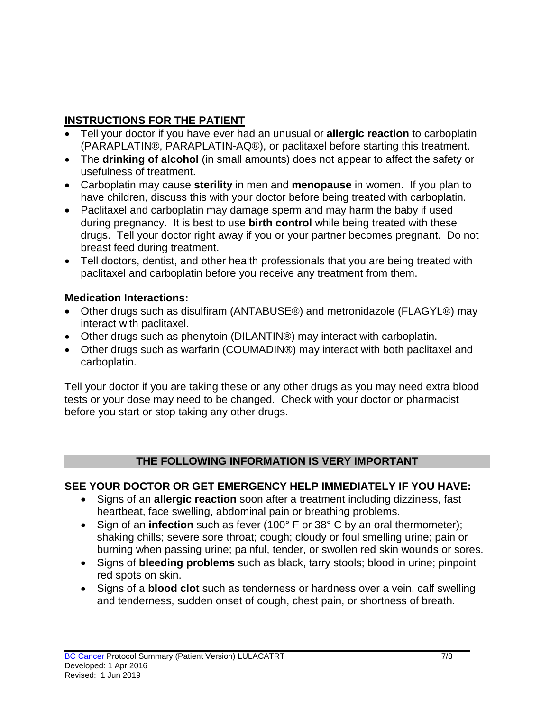# **INSTRUCTIONS FOR THE PATIENT**

- Tell your doctor if you have ever had an unusual or **allergic reaction** to carboplatin (PARAPLATIN®, PARAPLATIN-AQ®), or paclitaxel before starting this treatment.
- The **drinking of alcohol** (in small amounts) does not appear to affect the safety or usefulness of treatment.
- Carboplatin may cause **sterility** in men and **menopause** in women. If you plan to have children, discuss this with your doctor before being treated with carboplatin.
- Paclitaxel and carboplatin may damage sperm and may harm the baby if used during pregnancy. It is best to use **birth control** while being treated with these drugs. Tell your doctor right away if you or your partner becomes pregnant. Do not breast feed during treatment.
- Tell doctors, dentist, and other health professionals that you are being treated with paclitaxel and carboplatin before you receive any treatment from them.

### **Medication Interactions:**

- Other drugs such as disulfiram (ANTABUSE®) and metronidazole (FLAGYL®) may interact with paclitaxel.
- Other drugs such as phenytoin (DILANTIN®) may interact with carboplatin.
- Other drugs such as warfarin (COUMADIN®) may interact with both paclitaxel and carboplatin.

Tell your doctor if you are taking these or any other drugs as you may need extra blood tests or your dose may need to be changed. Check with your doctor or pharmacist before you start or stop taking any other drugs.

### **THE FOLLOWING INFORMATION IS VERY IMPORTANT**

### **SEE YOUR DOCTOR OR GET EMERGENCY HELP IMMEDIATELY IF YOU HAVE:**

- Signs of an **allergic reaction** soon after a treatment including dizziness, fast heartbeat, face swelling, abdominal pain or breathing problems.
- Sign of an **infection** such as fever (100° F or 38° C by an oral thermometer); shaking chills; severe sore throat; cough; cloudy or foul smelling urine; pain or burning when passing urine; painful, tender, or swollen red skin wounds or sores.
- Signs of **bleeding problems** such as black, tarry stools; blood in urine; pinpoint red spots on skin.
- Signs of a **blood clot** such as tenderness or hardness over a vein, calf swelling and tenderness, sudden onset of cough, chest pain, or shortness of breath.